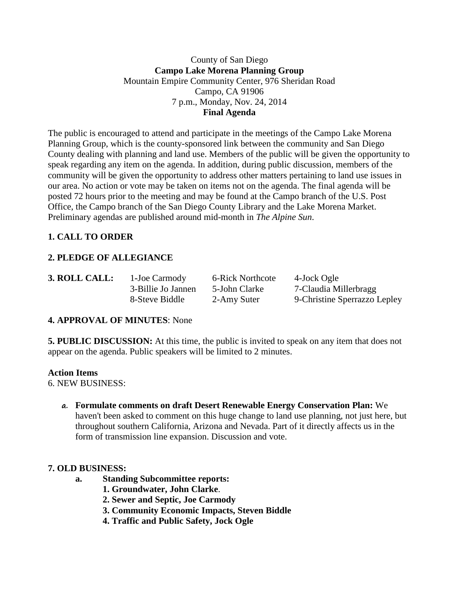## County of San Diego **Campo Lake Morena Planning Group** Mountain Empire Community Center, 976 Sheridan Road Campo, CA 91906 7 p.m., Monday, Nov. 24, 2014 **Final Agenda**

The public is encouraged to attend and participate in the meetings of the Campo Lake Morena Planning Group, which is the county-sponsored link between the community and San Diego County dealing with planning and land use. Members of the public will be given the opportunity to speak regarding any item on the agenda. In addition, during public discussion, members of the community will be given the opportunity to address other matters pertaining to land use issues in our area. No action or vote may be taken on items not on the agenda. The final agenda will be posted 72 hours prior to the meeting and may be found at the Campo branch of the U.S. Post Office, the Campo branch of the San Diego County Library and the Lake Morena Market. Preliminary agendas are published around mid-month in *The Alpine Sun*.

## **1. CALL TO ORDER**

# **2. PLEDGE OF ALLEGIANCE**

| <b>3. ROLL CAL</b> |  |
|--------------------|--|
|                    |  |

**1. EXECALL:** 1-Joe Carmody 6-Rick Northcote 4-Jock Ogle

3-Billie Jo Jannen 5-John Clarke 7-Claudia Millerbragg 8-Steve Biddle 2-Amy Suter 9-Christine Sperrazzo Lepley

## **4. APPROVAL OF MINUTES**: None

**5. PUBLIC DISCUSSION:** At this time, the public is invited to speak on any item that does not appear on the agenda. Public speakers will be limited to 2 minutes.

## **Action Items**

6. NEW BUSINESS:

**a. Formulate comments on draft Desert Renewable Energy Conservation Plan:** We haven't been asked to comment on this huge change to land use planning, not just here, but throughout southern California, Arizona and Nevada. Part of it directly affects us in the form of transmission line expansion. Discussion and vote.

## **7. OLD BUSINESS:**

- **a. Standing Subcommittee reports:**
	- **1. Groundwater, John Clarke**.
	- **2. Sewer and Septic, Joe Carmody**
	- **3. Community Economic Impacts, Steven Biddle**
	- **4. Traffic and Public Safety, Jock Ogle**